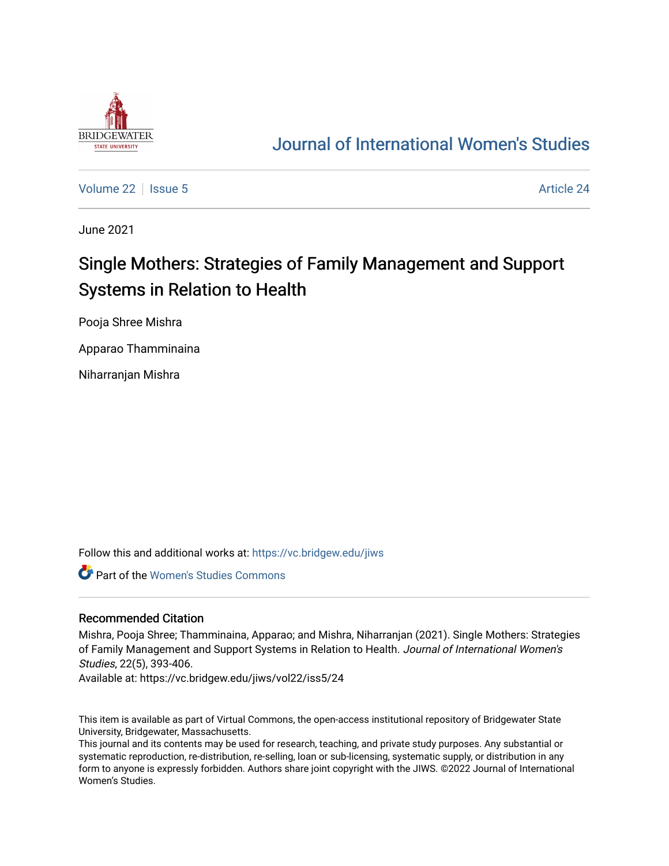

## [Journal of International Women's Studies](https://vc.bridgew.edu/jiws)

[Volume 22](https://vc.bridgew.edu/jiws/vol22) | [Issue 5](https://vc.bridgew.edu/jiws/vol22/iss5) [Article 24](https://vc.bridgew.edu/jiws/vol22/iss5/24) Article 24

June 2021

# Single Mothers: Strategies of Family Management and Support Systems in Relation to Health

Pooja Shree Mishra

Apparao Thamminaina

Niharranjan Mishra

Follow this and additional works at: [https://vc.bridgew.edu/jiws](https://vc.bridgew.edu/jiws?utm_source=vc.bridgew.edu%2Fjiws%2Fvol22%2Fiss5%2F24&utm_medium=PDF&utm_campaign=PDFCoverPages)

Part of the [Women's Studies Commons](http://network.bepress.com/hgg/discipline/561?utm_source=vc.bridgew.edu%2Fjiws%2Fvol22%2Fiss5%2F24&utm_medium=PDF&utm_campaign=PDFCoverPages) 

#### Recommended Citation

Mishra, Pooja Shree; Thamminaina, Apparao; and Mishra, Niharranjan (2021). Single Mothers: Strategies of Family Management and Support Systems in Relation to Health. Journal of International Women's Studies, 22(5), 393-406.

Available at: https://vc.bridgew.edu/jiws/vol22/iss5/24

This item is available as part of Virtual Commons, the open-access institutional repository of Bridgewater State University, Bridgewater, Massachusetts.

This journal and its contents may be used for research, teaching, and private study purposes. Any substantial or systematic reproduction, re-distribution, re-selling, loan or sub-licensing, systematic supply, or distribution in any form to anyone is expressly forbidden. Authors share joint copyright with the JIWS. ©2022 Journal of International Women's Studies.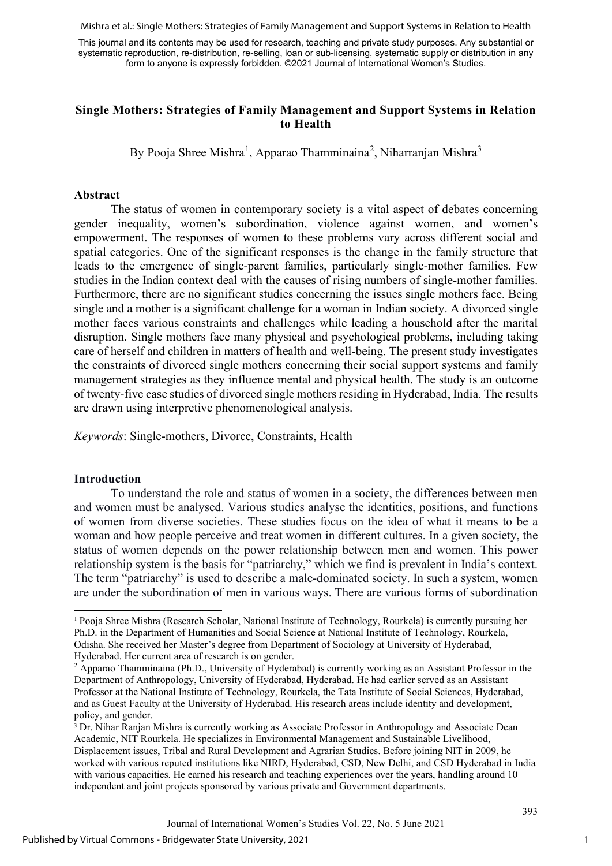Mishra et al.: Single Mothers: Strategies of Family Management and Support Systems in Relation to Health

This journal and its contents may be used for research, teaching and private study purposes. Any substantial or systematic reproduction, re-distribution, re-selling, loan or sub-licensing, systematic supply or distribution in any form to anyone is expressly forbidden. ©2021 Journal of International Women's Studies.

## **Single Mothers: Strategies of Family Management and Support Systems in Relation to Health**

By Pooja Shree Mishra<sup>[1](#page-1-0)</sup>, Apparao Thamminaina<sup>[2](#page-1-1)</sup>, Niharranjan Mishra<sup>[3](#page-1-2)</sup>

#### **Abstract**

The status of women in contemporary society is a vital aspect of debates concerning gender inequality, women's subordination, violence against women, and women's empowerment. The responses of women to these problems vary across different social and spatial categories. One of the significant responses is the change in the family structure that leads to the emergence of single-parent families, particularly single-mother families. Few studies in the Indian context deal with the causes of rising numbers of single-mother families. Furthermore, there are no significant studies concerning the issues single mothers face. Being single and a mother is a significant challenge for a woman in Indian society. A divorced single mother faces various constraints and challenges while leading a household after the marital disruption. Single mothers face many physical and psychological problems, including taking care of herself and children in matters of health and well-being. The present study investigates the constraints of divorced single mothers concerning their social support systems and family management strategies as they influence mental and physical health. The study is an outcome of twenty-five case studies of divorced single mothers residing in Hyderabad, India. The results are drawn using interpretive phenomenological analysis.

*Keywords*: Single-mothers, Divorce, Constraints, Health

#### **Introduction**

To understand the role and status of women in a society, the differences between men and women must be analysed. Various studies analyse the identities, positions, and functions of women from diverse societies. These studies focus on the idea of what it means to be a woman and how people perceive and treat women in different cultures. In a given society, the status of women depends on the power relationship between men and women. This power relationship system is the basis for "patriarchy," which we find is prevalent in India's context. The term "patriarchy" is used to describe a male-dominated society. In such a system, women are under the subordination of men in various ways. There are various forms of subordination

<span id="page-1-0"></span><sup>1</sup> Pooja Shree Mishra (Research Scholar, National Institute of Technology, Rourkela) is currently pursuing her Ph.D. in the Department of Humanities and Social Science at National Institute of Technology, Rourkela, Odisha. She received her Master's degree from Department of Sociology at University of Hyderabad, Hyderabad. Her current area of research is on gender.

<span id="page-1-1"></span><sup>&</sup>lt;sup>2</sup> Apparao Thamminaina (Ph.D., University of Hyderabad) is currently working as an Assistant Professor in the Department of Anthropology, University of Hyderabad, Hyderabad. He had earlier served as an Assistant Professor at the National Institute of Technology, Rourkela, the Tata Institute of Social Sciences, Hyderabad, and as Guest Faculty at the University of Hyderabad. His research areas include identity and development, policy, and gender.

<span id="page-1-2"></span><sup>&</sup>lt;sup>3</sup> Dr. Nihar Ranjan Mishra is currently working as Associate Professor in Anthropology and Associate Dean Academic, NIT Rourkela. He specializes in Environmental Management and Sustainable Livelihood, Displacement issues, Tribal and Rural Development and Agrarian Studies. Before joining NIT in 2009, he worked with various reputed institutions like NIRD, Hyderabad, CSD, New Delhi, and CSD Hyderabad in India with various capacities. He earned his research and teaching experiences over the years, handling around 10 independent and joint projects sponsored by various private and Government departments.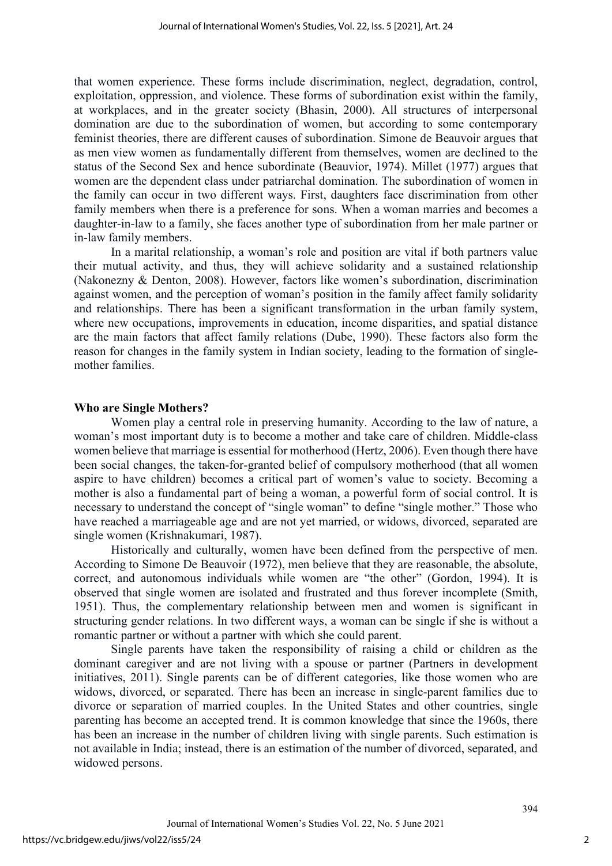that women experience. These forms include discrimination, neglect, degradation, control, exploitation, oppression, and violence. These forms of subordination exist within the family, at workplaces, and in the greater society (Bhasin, 2000). All structures of interpersonal domination are due to the subordination of women, but according to some contemporary feminist theories, there are different causes of subordination. Simone de Beauvoir argues that as men view women as fundamentally different from themselves, women are declined to the status of the Second Sex and hence subordinate (Beauvior, 1974). Millet (1977) argues that women are the dependent class under patriarchal domination. The subordination of women in the family can occur in two different ways. First, daughters face discrimination from other family members when there is a preference for sons. When a woman marries and becomes a daughter-in-law to a family, she faces another type of subordination from her male partner or in-law family members.

In a marital relationship, a woman's role and position are vital if both partners value their mutual activity, and thus, they will achieve solidarity and a sustained relationship (Nakonezny & Denton, 2008). However, factors like women's subordination, discrimination against women, and the perception of woman's position in the family affect family solidarity and relationships. There has been a significant transformation in the urban family system, where new occupations, improvements in education, income disparities, and spatial distance are the main factors that affect family relations (Dube, 1990). These factors also form the reason for changes in the family system in Indian society, leading to the formation of singlemother families.

#### **Who are Single Mothers?**

Women play a central role in preserving humanity. According to the law of nature, a woman's most important duty is to become a mother and take care of children. Middle-class women believe that marriage is essential for motherhood (Hertz, 2006). Even though there have been social changes, the taken-for-granted belief of compulsory motherhood (that all women aspire to have children) becomes a critical part of women's value to society. Becoming a mother is also a fundamental part of being a woman, a powerful form of social control. It is necessary to understand the concept of "single woman" to define "single mother." Those who have reached a marriageable age and are not yet married, or widows, divorced, separated are single women (Krishnakumari, 1987).

Historically and culturally, women have been defined from the perspective of men. According to Simone De Beauvoir (1972), men believe that they are reasonable, the absolute, correct, and autonomous individuals while women are "the other" (Gordon, 1994). It is observed that single women are isolated and frustrated and thus forever incomplete (Smith, 1951). Thus, the complementary relationship between men and women is significant in structuring gender relations. In two different ways, a woman can be single if she is without a romantic partner or without a partner with which she could parent.

Single parents have taken the responsibility of raising a child or children as the dominant caregiver and are not living with a spouse or partner (Partners in development initiatives, 2011). Single parents can be of different categories, like those women who are widows, divorced, or separated. There has been an increase in single-parent families due to divorce or separation of married couples. In the United States and other countries, single parenting has become an accepted trend. It is common knowledge that since the 1960s, there has been an increase in the number of children living with single parents. Such estimation is not available in India; instead, there is an estimation of the number of divorced, separated, and widowed persons.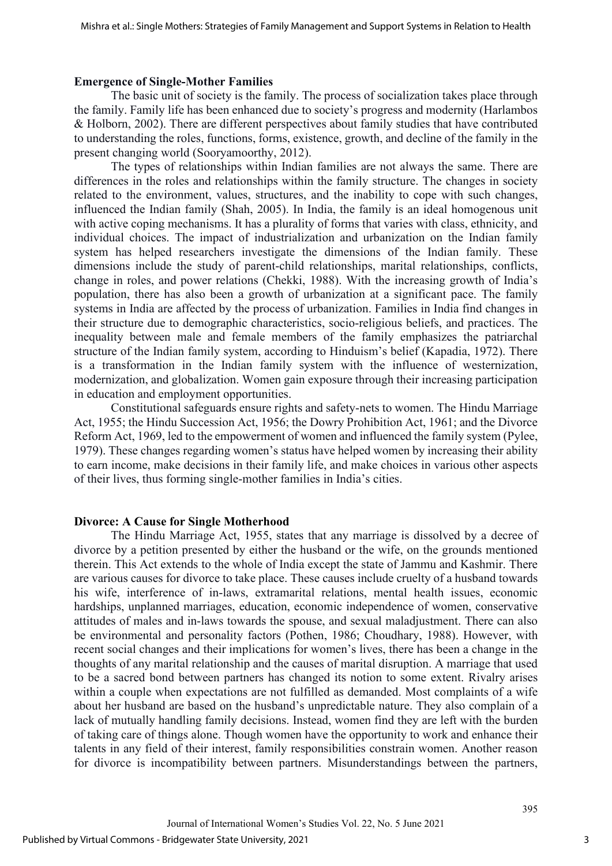#### **Emergence of Single-Mother Families**

The basic unit of society is the family. The process of socialization takes place through the family. Family life has been enhanced due to society's progress and modernity (Harlambos & Holborn, 2002). There are different perspectives about family studies that have contributed to understanding the roles, functions, forms, existence, growth, and decline of the family in the present changing world (Sooryamoorthy, 2012).

The types of relationships within Indian families are not always the same. There are differences in the roles and relationships within the family structure. The changes in society related to the environment, values, structures, and the inability to cope with such changes, influenced the Indian family (Shah, 2005). In India, the family is an ideal homogenous unit with active coping mechanisms. It has a plurality of forms that varies with class, ethnicity, and individual choices. The impact of industrialization and urbanization on the Indian family system has helped researchers investigate the dimensions of the Indian family. These dimensions include the study of parent-child relationships, marital relationships, conflicts, change in roles, and power relations (Chekki, 1988). With the increasing growth of India's population, there has also been a growth of urbanization at a significant pace. The family systems in India are affected by the process of urbanization. Families in India find changes in their structure due to demographic characteristics, socio-religious beliefs, and practices. The inequality between male and female members of the family emphasizes the patriarchal structure of the Indian family system, according to Hinduism's belief (Kapadia, 1972). There is a transformation in the Indian family system with the influence of westernization, modernization, and globalization. Women gain exposure through their increasing participation in education and employment opportunities.

Constitutional safeguards ensure rights and safety-nets to women. The Hindu Marriage Act, 1955; the Hindu Succession Act, 1956; the Dowry Prohibition Act, 1961; and the Divorce Reform Act, 1969, led to the empowerment of women and influenced the family system (Pylee, 1979). These changes regarding women's status have helped women by increasing their ability to earn income, make decisions in their family life, and make choices in various other aspects of their lives, thus forming single-mother families in India's cities.

#### **Divorce: A Cause for Single Motherhood**

The Hindu Marriage Act, 1955, states that any marriage is dissolved by a decree of divorce by a petition presented by either the husband or the wife, on the grounds mentioned therein. This Act extends to the whole of India except the state of Jammu and Kashmir. There are various causes for divorce to take place. These causes include cruelty of a husband towards his wife, interference of in-laws, extramarital relations, mental health issues, economic hardships, unplanned marriages, education, economic independence of women, conservative attitudes of males and in-laws towards the spouse, and sexual maladjustment. There can also be environmental and personality factors (Pothen, 1986; Choudhary, 1988). However, with recent social changes and their implications for women's lives, there has been a change in the thoughts of any marital relationship and the causes of marital disruption. A marriage that used to be a sacred bond between partners has changed its notion to some extent. Rivalry arises within a couple when expectations are not fulfilled as demanded. Most complaints of a wife about her husband are based on the husband's unpredictable nature. They also complain of a lack of mutually handling family decisions. Instead, women find they are left with the burden of taking care of things alone. Though women have the opportunity to work and enhance their talents in any field of their interest, family responsibilities constrain women. Another reason for divorce is incompatibility between partners. Misunderstandings between the partners,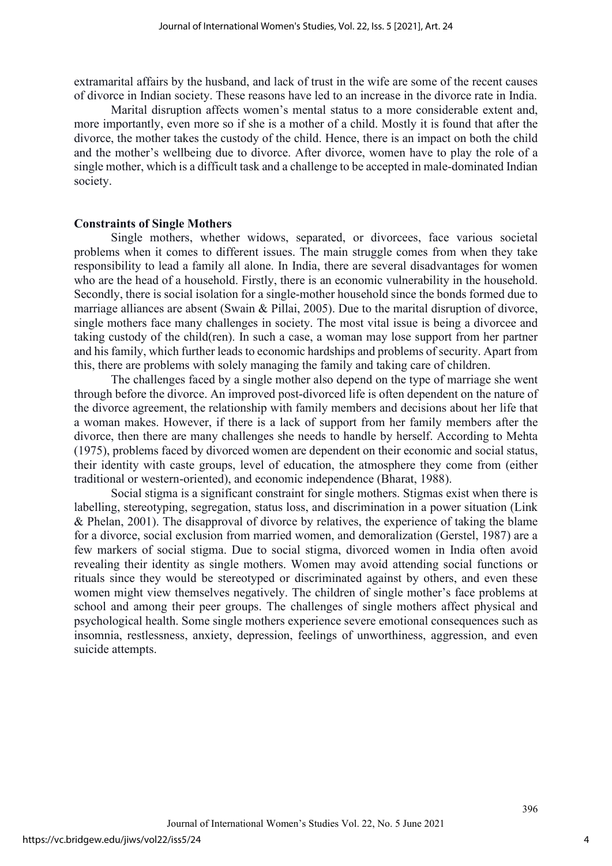extramarital affairs by the husband, and lack of trust in the wife are some of the recent causes of divorce in Indian society. These reasons have led to an increase in the divorce rate in India.

Marital disruption affects women's mental status to a more considerable extent and, more importantly, even more so if she is a mother of a child. Mostly it is found that after the divorce, the mother takes the custody of the child. Hence, there is an impact on both the child and the mother's wellbeing due to divorce. After divorce, women have to play the role of a single mother, which is a difficult task and a challenge to be accepted in male-dominated Indian society.

#### **Constraints of Single Mothers**

Single mothers, whether widows, separated, or divorcees, face various societal problems when it comes to different issues. The main struggle comes from when they take responsibility to lead a family all alone. In India, there are several disadvantages for women who are the head of a household. Firstly, there is an economic vulnerability in the household. Secondly, there is social isolation for a single-mother household since the bonds formed due to marriage alliances are absent (Swain & Pillai, 2005). Due to the marital disruption of divorce, single mothers face many challenges in society. The most vital issue is being a divorcee and taking custody of the child(ren). In such a case, a woman may lose support from her partner and his family, which further leads to economic hardships and problems of security. Apart from this, there are problems with solely managing the family and taking care of children.

The challenges faced by a single mother also depend on the type of marriage she went through before the divorce. An improved post-divorced life is often dependent on the nature of the divorce agreement, the relationship with family members and decisions about her life that a woman makes. However, if there is a lack of support from her family members after the divorce, then there are many challenges she needs to handle by herself. According to Mehta (1975), problems faced by divorced women are dependent on their economic and social status, their identity with caste groups, level of education, the atmosphere they come from (either traditional or western-oriented), and economic independence (Bharat, 1988).

Social stigma is a significant constraint for single mothers. Stigmas exist when there is labelling, stereotyping, segregation, status loss, and discrimination in a power situation (Link & Phelan, 2001). The disapproval of divorce by relatives, the experience of taking the blame for a divorce, social exclusion from married women, and demoralization (Gerstel, 1987) are a few markers of social stigma. Due to social stigma, divorced women in India often avoid revealing their identity as single mothers. Women may avoid attending social functions or rituals since they would be stereotyped or discriminated against by others, and even these women might view themselves negatively. The children of single mother's face problems at school and among their peer groups. The challenges of single mothers affect physical and psychological health. Some single mothers experience severe emotional consequences such as insomnia, restlessness, anxiety, depression, feelings of unworthiness, aggression, and even suicide attempts.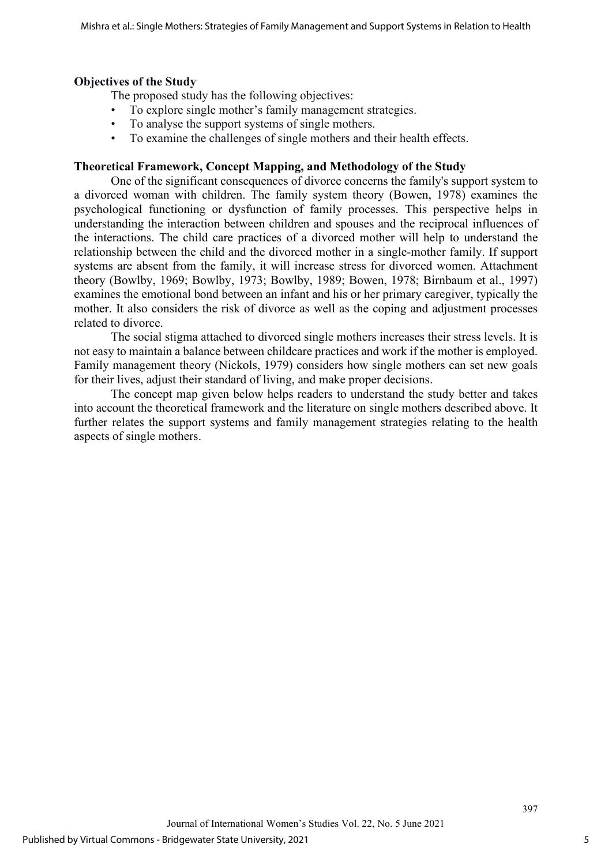## **Objectives of the Study**

The proposed study has the following objectives:

- To explore single mother's family management strategies.
- To analyse the support systems of single mothers.
- To examine the challenges of single mothers and their health effects.

## **Theoretical Framework, Concept Mapping, and Methodology of the Study**

One of the significant consequences of divorce concerns the family's support system to a divorced woman with children. The family system theory (Bowen, 1978) examines the psychological functioning or dysfunction of family processes. This perspective helps in understanding the interaction between children and spouses and the reciprocal influences of the interactions. The child care practices of a divorced mother will help to understand the relationship between the child and the divorced mother in a single-mother family. If support systems are absent from the family, it will increase stress for divorced women. Attachment theory (Bowlby, 1969; Bowlby, 1973; Bowlby, 1989; Bowen, 1978; Birnbaum et al., 1997) examines the emotional bond between an infant and his or her primary caregiver, typically the mother. It also considers the risk of divorce as well as the coping and adjustment processes related to divorce.

The social stigma attached to divorced single mothers increases their stress levels. It is not easy to maintain a balance between childcare practices and work if the mother is employed. Family management theory (Nickols, 1979) considers how single mothers can set new goals for their lives, adjust their standard of living, and make proper decisions.

The concept map given below helps readers to understand the study better and takes into account the theoretical framework and the literature on single mothers described above. It further relates the support systems and family management strategies relating to the health aspects of single mothers.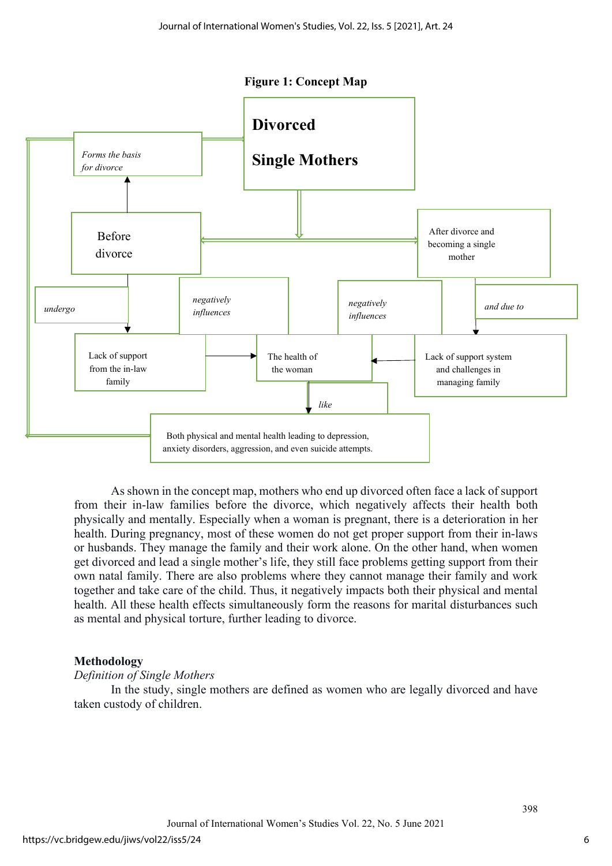**Figure 1: Concept Map**



As shown in the concept map, mothers who end up divorced often face a lack of support from their in-law families before the divorce, which negatively affects their health both physically and mentally. Especially when a woman is pregnant, there is a deterioration in her health. During pregnancy, most of these women do not get proper support from their in-laws or husbands. They manage the family and their work alone. On the other hand, when women get divorced and lead a single mother's life, they still face problems getting support from their own natal family. There are also problems where they cannot manage their family and work together and take care of the child. Thus, it negatively impacts both their physical and mental health. All these health effects simultaneously form the reasons for marital disturbances such as mental and physical torture, further leading to divorce.

#### **Methodology**

#### *Definition of Single Mothers*

 In the study, single mothers are defined as women who are legally divorced and have taken custody of children.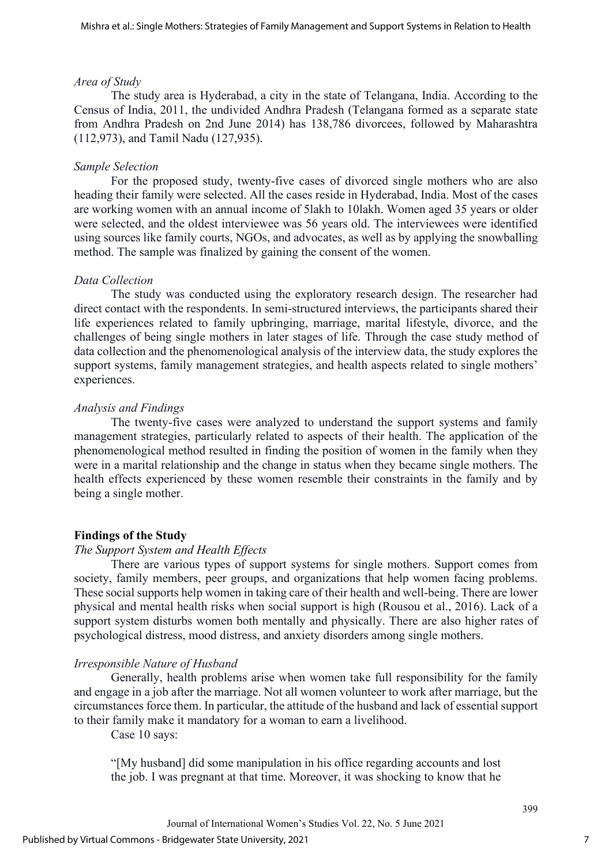#### *Area of Study*

The study area is Hyderabad, a city in the state of Telangana, India. According to the Census of India, 2011, the undivided Andhra Pradesh (Telangana formed as a separate state from Andhra Pradesh on 2nd June 2014) has 138,786 divorcees, followed by Maharashtra (112,973), and Tamil Nadu (127,935).

## *Sample Selection*

For the proposed study, twenty-five cases of divorced single mothers who are also heading their family were selected. All the cases reside in Hyderabad, India. Most of the cases are working women with an annual income of 5lakh to 10lakh. Women aged 35 years or older were selected, and the oldest interviewee was 56 years old. The interviewees were identified using sources like family courts, NGOs, and advocates, as well as by applying the snowballing method. The sample was finalized by gaining the consent of the women.

#### *Data Collection*

The study was conducted using the exploratory research design. The researcher had direct contact with the respondents. In semi-structured interviews, the participants shared their life experiences related to family upbringing, marriage, marital lifestyle, divorce, and the challenges of being single mothers in later stages of life. Through the case study method of data collection and the phenomenological analysis of the interview data, the study explores the support systems, family management strategies, and health aspects related to single mothers' experiences.

#### *Analysis and Findings*

The twenty-five cases were analyzed to understand the support systems and family management strategies, particularly related to aspects of their health. The application of the phenomenological method resulted in finding the position of women in the family when they were in a marital relationship and the change in status when they became single mothers. The health effects experienced by these women resemble their constraints in the family and by being a single mother.

## **Findings of the Study**

#### *The Support System and Health Effects*

There are various types of support systems for single mothers. Support comes from society, family members, peer groups, and organizations that help women facing problems. These social supports help women in taking care of their health and well-being. There are lower physical and mental health risks when social support is high (Rousou et al., 2016). Lack of a support system disturbs women both mentally and physically. There are also higher rates of psychological distress, mood distress, and anxiety disorders among single mothers.

## *Irresponsible Nature of Husband*

Generally, health problems arise when women take full responsibility for the family and engage in a job after the marriage. Not all women volunteer to work after marriage, but the circumstances force them. In particular, the attitude of the husband and lack of essential support to their family make it mandatory for a woman to earn a livelihood.

Case 10 says:

"[My husband] did some manipulation in his office regarding accounts and lost the job. I was pregnant at that time. Moreover, it was shocking to know that he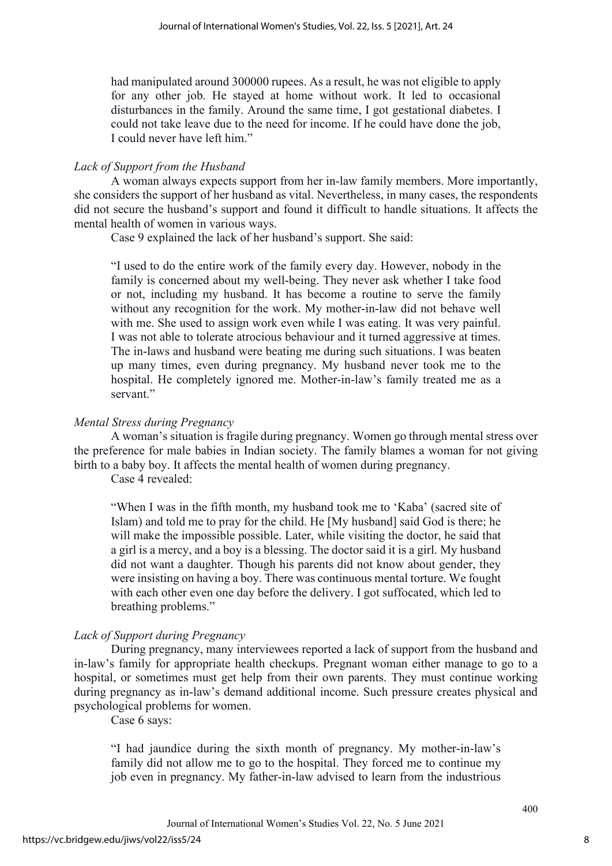had manipulated around 300000 rupees. As a result, he was not eligible to apply for any other job. He stayed at home without work. It led to occasional disturbances in the family. Around the same time, I got gestational diabetes. I could not take leave due to the need for income. If he could have done the job, I could never have left him."

## *Lack of Support from the Husband*

 A woman always expects support from her in-law family members. More importantly, she considers the support of her husband as vital. Nevertheless, in many cases, the respondents did not secure the husband's support and found it difficult to handle situations. It affects the mental health of women in various ways.

Case 9 explained the lack of her husband's support. She said:

"I used to do the entire work of the family every day. However, nobody in the family is concerned about my well-being. They never ask whether I take food or not, including my husband. It has become a routine to serve the family without any recognition for the work. My mother-in-law did not behave well with me. She used to assign work even while I was eating. It was very painful. I was not able to tolerate atrocious behaviour and it turned aggressive at times. The in-laws and husband were beating me during such situations. I was beaten up many times, even during pregnancy. My husband never took me to the hospital. He completely ignored me. Mother-in-law's family treated me as a servant."

## *Mental Stress during Pregnancy*

A woman's situation is fragile during pregnancy. Women go through mental stress over the preference for male babies in Indian society. The family blames a woman for not giving birth to a baby boy. It affects the mental health of women during pregnancy.

Case 4 revealed:

"When I was in the fifth month, my husband took me to 'Kaba' (sacred site of Islam) and told me to pray for the child. He [My husband] said God is there; he will make the impossible possible. Later, while visiting the doctor, he said that a girl is a mercy, and a boy is a blessing. The doctor said it is a girl. My husband did not want a daughter. Though his parents did not know about gender, they were insisting on having a boy. There was continuous mental torture. We fought with each other even one day before the delivery. I got suffocated, which led to breathing problems."

## *Lack of Support during Pregnancy*

During pregnancy, many interviewees reported a lack of support from the husband and in-law's family for appropriate health checkups. Pregnant woman either manage to go to a hospital, or sometimes must get help from their own parents. They must continue working during pregnancy as in-law's demand additional income. Such pressure creates physical and psychological problems for women.

Case 6 says:

"I had jaundice during the sixth month of pregnancy. My mother-in-law's family did not allow me to go to the hospital. They forced me to continue my job even in pregnancy. My father-in-law advised to learn from the industrious

Journal of International Women's Studies Vol. 22, No. 5 June 2021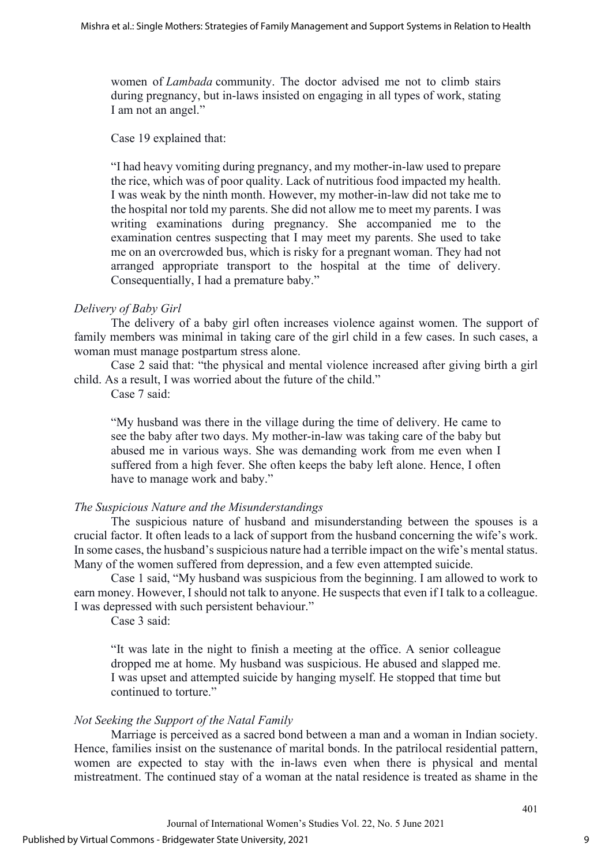women of *Lambada* community. The doctor advised me not to climb stairs during pregnancy, but in-laws insisted on engaging in all types of work, stating I am not an angel."

Case 19 explained that:

"I had heavy vomiting during pregnancy, and my mother-in-law used to prepare the rice, which was of poor quality. Lack of nutritious food impacted my health. I was weak by the ninth month. However, my mother-in-law did not take me to the hospital nor told my parents. She did not allow me to meet my parents. I was writing examinations during pregnancy. She accompanied me to the examination centres suspecting that I may meet my parents. She used to take me on an overcrowded bus, which is risky for a pregnant woman. They had not arranged appropriate transport to the hospital at the time of delivery. Consequentially, I had a premature baby."

## *Delivery of Baby Girl*

The delivery of a baby girl often increases violence against women. The support of family members was minimal in taking care of the girl child in a few cases. In such cases, a woman must manage postpartum stress alone.

Case 2 said that: "the physical and mental violence increased after giving birth a girl child. As a result, I was worried about the future of the child."

Case 7 said:

"My husband was there in the village during the time of delivery. He came to see the baby after two days. My mother-in-law was taking care of the baby but abused me in various ways. She was demanding work from me even when I suffered from a high fever. She often keeps the baby left alone. Hence, I often have to manage work and baby."

## *The Suspicious Nature and the Misunderstandings*

The suspicious nature of husband and misunderstanding between the spouses is a crucial factor. It often leads to a lack of support from the husband concerning the wife's work. In some cases, the husband's suspicious nature had a terrible impact on the wife's mental status. Many of the women suffered from depression, and a few even attempted suicide.

Case 1 said, "My husband was suspicious from the beginning. I am allowed to work to earn money. However, I should not talk to anyone. He suspects that even if I talk to a colleague. I was depressed with such persistent behaviour."

Case 3 said:

"It was late in the night to finish a meeting at the office. A senior colleague dropped me at home. My husband was suspicious. He abused and slapped me. I was upset and attempted suicide by hanging myself. He stopped that time but continued to torture."

## *Not Seeking the Support of the Natal Family*

Marriage is perceived as a sacred bond between a man and a woman in Indian society. Hence, families insist on the sustenance of marital bonds. In the patrilocal residential pattern, women are expected to stay with the in-laws even when there is physical and mental mistreatment. The continued stay of a woman at the natal residence is treated as shame in the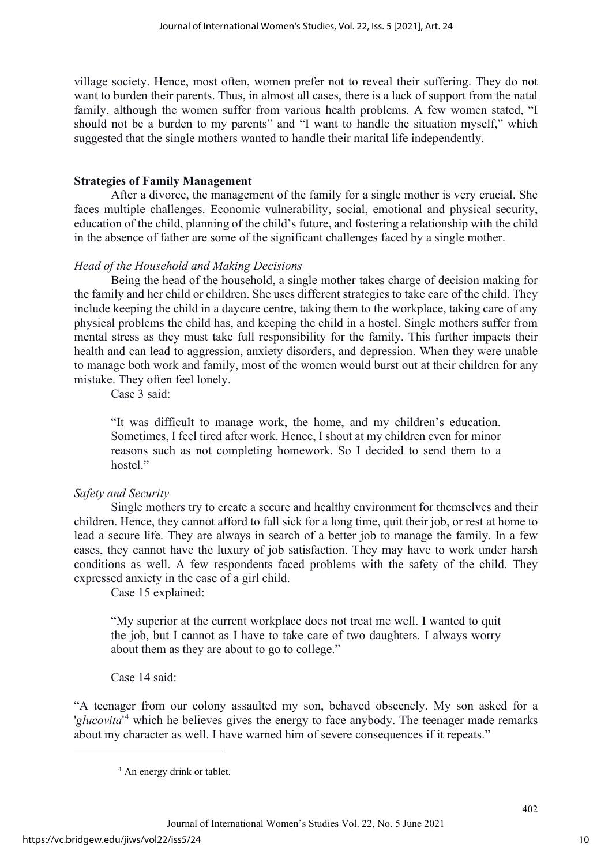village society. Hence, most often, women prefer not to reveal their suffering. They do not want to burden their parents. Thus, in almost all cases, there is a lack of support from the natal family, although the women suffer from various health problems. A few women stated, "I should not be a burden to my parents" and "I want to handle the situation myself," which suggested that the single mothers wanted to handle their marital life independently.

## **Strategies of Family Management**

After a divorce, the management of the family for a single mother is very crucial. She faces multiple challenges. Economic vulnerability, social, emotional and physical security, education of the child, planning of the child's future, and fostering a relationship with the child in the absence of father are some of the significant challenges faced by a single mother.

## *Head of the Household and Making Decisions*

Being the head of the household, a single mother takes charge of decision making for the family and her child or children. She uses different strategies to take care of the child. They include keeping the child in a daycare centre, taking them to the workplace, taking care of any physical problems the child has, and keeping the child in a hostel. Single mothers suffer from mental stress as they must take full responsibility for the family. This further impacts their health and can lead to aggression, anxiety disorders, and depression. When they were unable to manage both work and family, most of the women would burst out at their children for any mistake. They often feel lonely.

Case 3 said:

"It was difficult to manage work, the home, and my children's education. Sometimes, I feel tired after work. Hence, I shout at my children even for minor reasons such as not completing homework. So I decided to send them to a hostel."

## *Safety and Security*

 Single mothers try to create a secure and healthy environment for themselves and their children. Hence, they cannot afford to fall sick for a long time, quit their job, or rest at home to lead a secure life. They are always in search of a better job to manage the family. In a few cases, they cannot have the luxury of job satisfaction. They may have to work under harsh conditions as well. A few respondents faced problems with the safety of the child. They expressed anxiety in the case of a girl child.

Case 15 explained:

"My superior at the current workplace does not treat me well. I wanted to quit the job, but I cannot as I have to take care of two daughters. I always worry about them as they are about to go to college."

Case 14 said:

<span id="page-10-0"></span>"A teenager from our colony assaulted my son, behaved obscenely. My son asked for a '*glucovita*' [4](#page-10-0) which he believes gives the energy to face anybody. The teenager made remarks about my character as well. I have warned him of severe consequences if it repeats."

<sup>4</sup> An energy drink or tablet.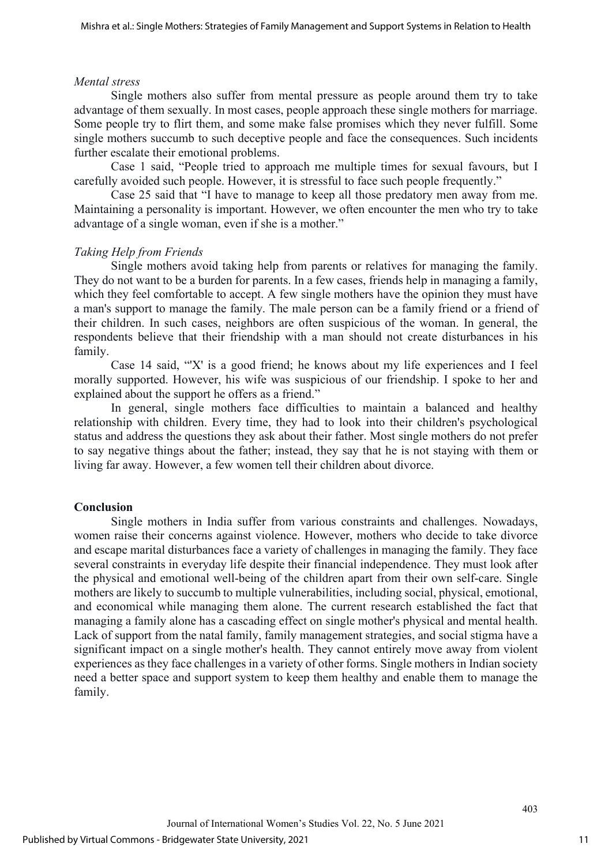#### *Mental stress*

Single mothers also suffer from mental pressure as people around them try to take advantage of them sexually. In most cases, people approach these single mothers for marriage. Some people try to flirt them, and some make false promises which they never fulfill. Some single mothers succumb to such deceptive people and face the consequences. Such incidents further escalate their emotional problems.

Case 1 said, "People tried to approach me multiple times for sexual favours, but I carefully avoided such people. However, it is stressful to face such people frequently."

Case 25 said that "I have to manage to keep all those predatory men away from me. Maintaining a personality is important. However, we often encounter the men who try to take advantage of a single woman, even if she is a mother."

#### *Taking Help from Friends*

Single mothers avoid taking help from parents or relatives for managing the family. They do not want to be a burden for parents. In a few cases, friends help in managing a family, which they feel comfortable to accept. A few single mothers have the opinion they must have a man's support to manage the family. The male person can be a family friend or a friend of their children. In such cases, neighbors are often suspicious of the woman. In general, the respondents believe that their friendship with a man should not create disturbances in his family.

Case 14 said, "'X' is a good friend; he knows about my life experiences and I feel morally supported. However, his wife was suspicious of our friendship. I spoke to her and explained about the support he offers as a friend."

In general, single mothers face difficulties to maintain a balanced and healthy relationship with children. Every time, they had to look into their children's psychological status and address the questions they ask about their father. Most single mothers do not prefer to say negative things about the father; instead, they say that he is not staying with them or living far away. However, a few women tell their children about divorce.

#### **Conclusion**

Single mothers in India suffer from various constraints and challenges. Nowadays, women raise their concerns against violence. However, mothers who decide to take divorce and escape marital disturbances face a variety of challenges in managing the family. They face several constraints in everyday life despite their financial independence. They must look after the physical and emotional well-being of the children apart from their own self-care. Single mothers are likely to succumb to multiple vulnerabilities, including social, physical, emotional, and economical while managing them alone. The current research established the fact that managing a family alone has a cascading effect on single mother's physical and mental health. Lack of support from the natal family, family management strategies, and social stigma have a significant impact on a single mother's health. They cannot entirely move away from violent experiences as they face challenges in a variety of other forms. Single mothers in Indian society need a better space and support system to keep them healthy and enable them to manage the family.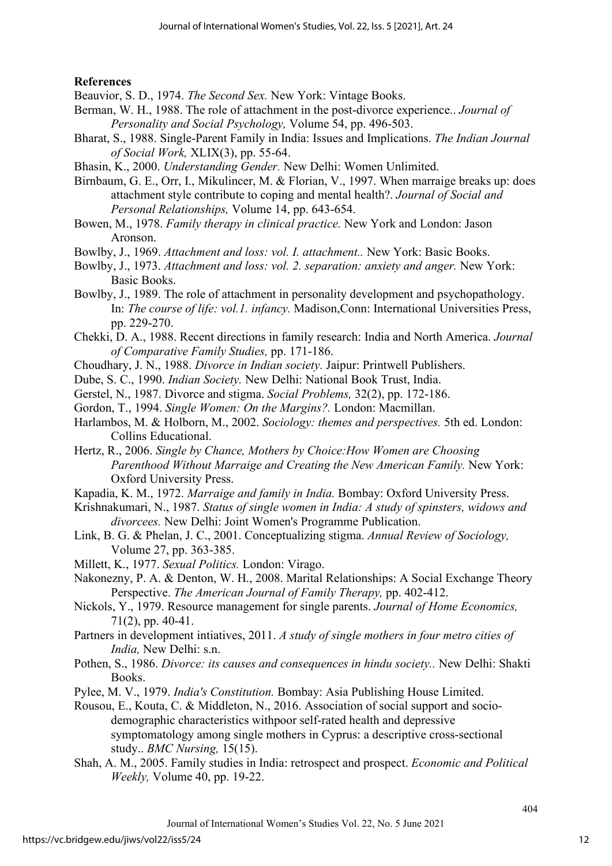## **References**

- Beauvior, S. D., 1974. *The Second Sex.* New York: Vintage Books.
- Berman, W. H., 1988. The role of attachment in the post-divorce experience.. *Journal of Personality and Social Psychology,* Volume 54, pp. 496-503.
- Bharat, S., 1988. Single-Parent Family in India: Issues and Implications. *The Indian Journal of Social Work,* XLIX(3), pp. 55-64.
- Bhasin, K., 2000. *Understanding Gender.* New Delhi: Women Unlimited.
- Birnbaum, G. E., Orr, I., Mikulincer, M. & Florian, V., 1997. When marraige breaks up: does attachment style contribute to coping and mental health?. *Journal of Social and Personal Relationships,* Volume 14, pp. 643-654.
- Bowen, M., 1978. *Family therapy in clinical practice.* New York and London: Jason Aronson.
- Bowlby, J., 1969. *Attachment and loss: vol. I. attachment..* New York: Basic Books.
- Bowlby, J., 1973. Attachment and loss: vol. 2. separation: anxiety and anger. New York: Basic Books.
- Bowlby, J., 1989. The role of attachment in personality development and psychopathology. In: *The course of life: vol.1. infancy.* Madison,Conn: International Universities Press, pp. 229-270.
- Chekki, D. A., 1988. Recent directions in family research: India and North America. *Journal of Comparative Family Studies,* pp. 171-186.
- Choudhary, J. N., 1988. *Divorce in Indian society.* Jaipur: Printwell Publishers.
- Dube, S. C., 1990. *Indian Society.* New Delhi: National Book Trust, India.
- Gerstel, N., 1987. Divorce and stigma. *Social Problems,* 32(2), pp. 172-186.
- Gordon, T., 1994. *Single Women: On the Margins?.* London: Macmillan.
- Harlambos, M. & Holborn, M., 2002. *Sociology: themes and perspectives.* 5th ed. London: Collins Educational.
- Hertz, R., 2006. *Single by Chance, Mothers by Choice:How Women are Choosing Parenthood Without Marraige and Creating the New American Family.* New York: Oxford University Press.
- Kapadia, K. M., 1972. *Marraige and family in India.* Bombay: Oxford University Press.
- Krishnakumari, N., 1987. *Status of single women in India: A study of spinsters, widows and divorcees.* New Delhi: Joint Women's Programme Publication.
- Link, B. G. & Phelan, J. C., 2001. Conceptualizing stigma. *Annual Review of Sociology,*  Volume 27, pp. 363-385.
- Millett, K., 1977. *Sexual Politics.* London: Virago.
- Nakonezny, P. A. & Denton, W. H., 2008. Marital Relationships: A Social Exchange Theory Perspective. *The American Journal of Family Therapy,* pp. 402-412.
- Nickols, Y., 1979. Resource management for single parents. *Journal of Home Economics,*  71(2), pp. 40-41.
- Partners in development intiatives, 2011. *A study of single mothers in four metro cities of India,* New Delhi: s.n.
- Pothen, S., 1986. *Divorce: its causes and consequences in hindu society..* New Delhi: Shakti Books.
- Pylee, M. V., 1979. *India's Constitution.* Bombay: Asia Publishing House Limited.
- Rousou, E., Kouta, C. & Middleton, N., 2016. Association of social support and sociodemographic characteristics withpoor self-rated health and depressive symptomatology among single mothers in Cyprus: a descriptive cross-sectional study.. *BMC Nursing,* 15(15).
- Shah, A. M., 2005. Family studies in India: retrospect and prospect. *Economic and Political Weekly,* Volume 40, pp. 19-22.